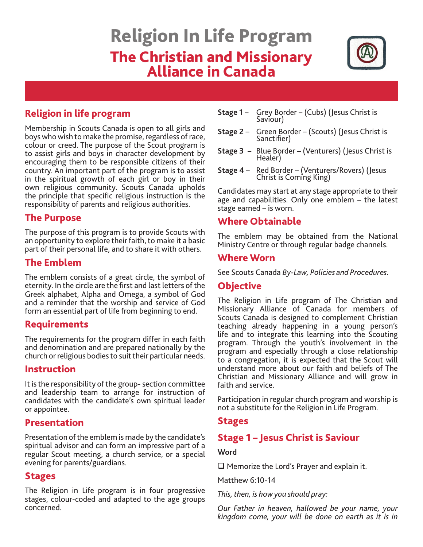# Religion In Life Program The Christian and Missionary Alliance in Canada



## Religion in life program

Membership in Scouts Canada is open to all girls and boys who wish to make the promise, regardless of race, colour or creed. The purpose of the Scout program is to assist girls and boys in character development by encouraging them to be responsible citizens of their country. An important part of the program is to assist in the spiritual growth of each girl or boy in their own religious community. Scouts Canada upholds the principle that specific religious instruction is the responsibility of parents and religious authorities.

## The Purpose

The purpose of this program is to provide Scouts with an opportunity to explore their faith, to make it a basic part of their personal life, and to share it with others.

## The Emblem

The emblem consists of a great circle, the symbol of eternity. In the circle are the first and last letters of the Greek alphabet, Alpha and Omega, a symbol of God and a reminder that the worship and service of God form an essential part of life from beginning to end.

## Requirements

The requirements for the program differ in each faith and denomination and are prepared nationally by the church or religious bodies to suit their particular needs.

## Instruction

It is the responsibility of the group- section committee and leadership team to arrange for instruction of candidates with the candidate's own spiritual leader or appointee.

## Presentation

Presentation of the emblem is made by the candidate's spiritual advisor and can form an impressive part of a regular Scout meeting, a church service, or a special evening for parents/guardians.

## Stages

The Religion in Life program is in four progressive stages, colour-coded and adapted to the age groups concerned.

- **Stage 1** Grey Border (Cubs) (Jesus Christ is Saviour)
- **Stage 2** Green Border (Scouts) (Jesus Christ is Sanctifier)
- **Stage 3** Blue Border (Venturers) (Jesus Christ is Healer)
- **Stage 4** Red Border (Venturers/Rovers) (Jesus Christ is Coming King)

Candidates may start at any stage appropriate to their age and capabilities. Only one emblem – the latest stage earned – is worn.

## Where Obtainable

The emblem may be obtained from the National Ministry Centre or through regular badge channels.

#### Where Worn

See Scouts Canada *By-Law, Policies and Procedures.*

## Objective

The Religion in Life program of The Christian and Missionary Alliance of Canada for members of Scouts Canada is designed to complement Christian teaching already happening in a young person's life and to integrate this learning into the Scouting program. Through the youth's involvement in the program and especially through a close relationship to a congregation, it is expected that the Scout will understand more about our faith and beliefs of The Christian and Missionary Alliance and will grow in faith and service.

Participation in regular church program and worship is not a substitute for the Religion in Life Program.

## **Stages**

## Stage 1 – Jesus Christ is Saviour

#### **Word**

 $\Box$  Memorize the Lord's Prayer and explain it.

Matthew 6:10-14

*This, then, is how you should pray:*

*Our Father in heaven, hallowed be your name, your kingdom come, your will be done on earth as it is in*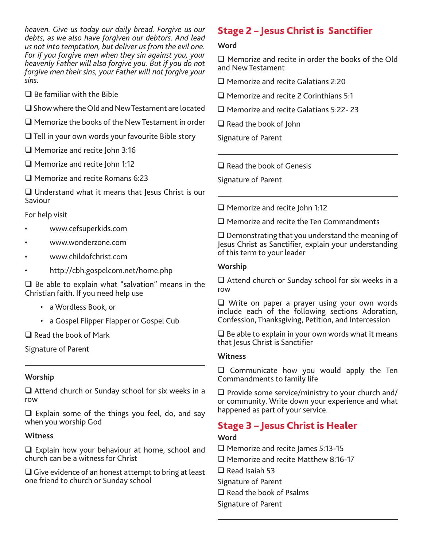*heaven. Give us today our daily bread. Forgive us our debts, as we also have forgiven our debtors. And lead us not into temptation, but deliver us from the evil one. For if you forgive men when they sin against you, your heavenly Father will also forgive you. But if you do not forgive men their sins, your Father will not forgive your sins.*

- $\square$  Be familiar with the Bible
- $\square$  Show where the Old and New Testament are located
- $\square$  Memorize the books of the New Testament in order
- $\Box$  Tell in your own words your favourite Bible story
- $\Box$  Memorize and recite John 3:16
- □ Memorize and recite John 1:12
- $\Box$  Memorize and recite Romans 6:23

 $\Box$  Understand what it means that Jesus Christ is our Saviour

For help visit

- www.cefsuperkids.com
- www.wonderzone.com
- www.childofchrist.com
- http://cbh.gospelcom.net/home.php

 $\Box$  Be able to explain what "salvation" means in the Christian faith. If you need help use

- a Wordless Book, or
- a Gospel Flipper Flapper or Gospel Cub

 $\Box$  Read the book of Mark

Signature of Parent

#### **Worship**

 $\Box$  Attend church or Sunday school for six weeks in a row

 $\Box$  Explain some of the things you feel, do, and say when you worship God

#### **Witness**

 $\Box$  Explain how your behaviour at home, school and church can be a witness for Christ

 $\Box$  Give evidence of an honest attempt to bring at least one friend to church or Sunday school

# Stage 2 – Jesus Christ is Sanctifier

#### **Word**

 $\Box$  Memorize and recite in order the books of the Old and New Testament

 $\Box$  Memorize and recite Galatians 2:20

 $\Box$  Memorize and recite 2 Corinthians 5:1

□ Memorize and recite Galatians 5:22-23

 $\Box$  Read the book of John

Signature of Parent

 $\Box$  Read the book of Genesis

Signature of Parent

 $\Box$  Memorize and recite John 1:12

 $\Box$  Memorize and recite the Ten Commandments

 $\square$  Demonstrating that you understand the meaning of Jesus Christ as Sanctifier, explain your understanding of this term to your leader

#### **Worship**

 $\Box$  Attend church or Sunday school for six weeks in a row

□ Write on paper a prayer using your own words include each of the following sections Adoration, Confession, Thanksgiving, Petition, and Intercession

 $\Box$  Be able to explain in your own words what it means that Jesus Christ is Sanctifier

#### **Witness**

 $\Box$  Communicate how you would apply the Ten Commandments to family life

 $\Box$  Provide some service/ministry to your church and/ or community. Write down your experience and what happened as part of your service.

## Stage 3 – Jesus Christ is Healer

#### **Word**

- $\Box$  Memorize and recite James 5:13-15
- □ Memorize and recite Matthew 8:16-17
- $\Box$  Read Isaiah 53
- Signature of Parent
- $\Box$  Read the book of Psalms
- Signature of Parent